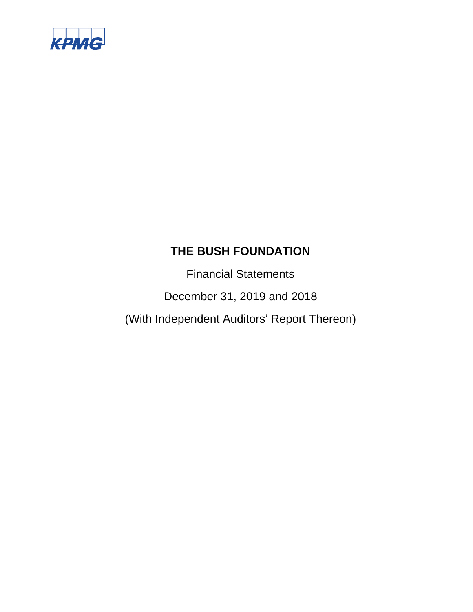

Financial Statements

December 31, 2019 and 2018

(With Independent Auditors' Report Thereon)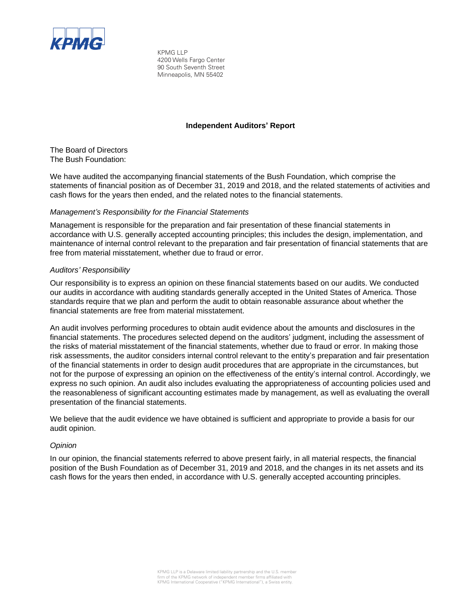

KPMG LLP 4200 Wells Fargo Center 90 South Seventh Street Minneapolis, MN 55402

#### **Independent Auditors' Report**

The Board of Directors The Bush Foundation:

We have audited the accompanying financial statements of the Bush Foundation, which comprise the statements of financial position as of December 31, 2019 and 2018, and the related statements of activities and cash flows for the years then ended, and the related notes to the financial statements.

#### *Management's Responsibility for the Financial Statements*

Management is responsible for the preparation and fair presentation of these financial statements in accordance with U.S. generally accepted accounting principles; this includes the design, implementation, and maintenance of internal control relevant to the preparation and fair presentation of financial statements that are free from material misstatement, whether due to fraud or error.

#### *Auditors' Responsibility*

Our responsibility is to express an opinion on these financial statements based on our audits. We conducted our audits in accordance with auditing standards generally accepted in the United States of America. Those standards require that we plan and perform the audit to obtain reasonable assurance about whether the financial statements are free from material misstatement.

An audit involves performing procedures to obtain audit evidence about the amounts and disclosures in the financial statements. The procedures selected depend on the auditors' judgment, including the assessment of the risks of material misstatement of the financial statements, whether due to fraud or error. In making those risk assessments, the auditor considers internal control relevant to the entity's preparation and fair presentation of the financial statements in order to design audit procedures that are appropriate in the circumstances, but not for the purpose of expressing an opinion on the effectiveness of the entity's internal control. Accordingly, we express no such opinion. An audit also includes evaluating the appropriateness of accounting policies used and the reasonableness of significant accounting estimates made by management, as well as evaluating the overall presentation of the financial statements.

We believe that the audit evidence we have obtained is sufficient and appropriate to provide a basis for our audit opinion.

#### *Opinion*

In our opinion, the financial statements referred to above present fairly, in all material respects, the financial position of the Bush Foundation as of December 31, 2019 and 2018, and the changes in its net assets and its cash flows for the years then ended, in accordance with U.S. generally accepted accounting principles.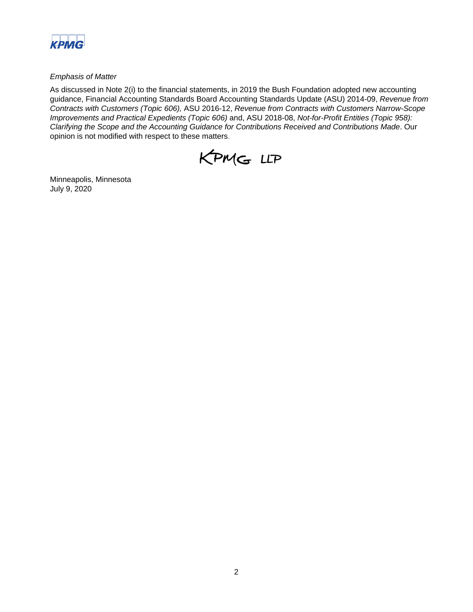

#### *Emphasis of Matter*

As discussed in Note 2(i) to the financial statements, in 2019 the Bush Foundation adopted new accounting guidance, Financial Accounting Standards Board Accounting Standards Update (ASU) 2014-09, *Revenue from Contracts with Customers (Topic 606),* ASU 2016-12, *Revenue from Contracts with Customers Narrow-Scope Improvements and Practical Expedients (Topic 606)* and, ASU 2018-08, *Not-for-Profit Entities (Topic 958): Clarifying the Scope and the Accounting Guidance for Contributions Received and Contributions Made*. Our opinion is not modified with respect to these matters.



Minneapolis, Minnesota July 9, 2020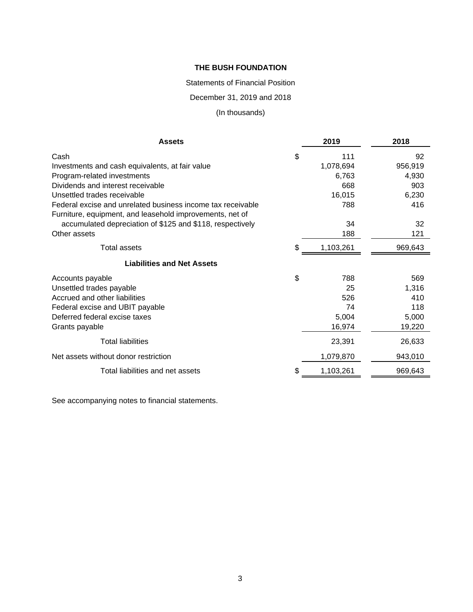#### Statements of Financial Position

December 31, 2019 and 2018

# (In thousands)

| <b>Assets</b>                                               | 2019            | 2018    |
|-------------------------------------------------------------|-----------------|---------|
| Cash                                                        | \$<br>111       | 92      |
| Investments and cash equivalents, at fair value             | 1,078,694       | 956,919 |
| Program-related investments                                 | 6,763           | 4,930   |
| Dividends and interest receivable                           | 668             | 903     |
| Unsettled trades receivable                                 | 16,015          | 6,230   |
| Federal excise and unrelated business income tax receivable | 788             | 416     |
| Furniture, equipment, and leasehold improvements, net of    |                 |         |
| accumulated depreciation of \$125 and \$118, respectively   | 34              | 32      |
| Other assets                                                | 188             | 121     |
| Total assets                                                | \$<br>1,103,261 | 969,643 |
| <b>Liabilities and Net Assets</b>                           |                 |         |
| Accounts payable                                            | \$<br>788       | 569     |
| Unsettled trades payable                                    | 25              | 1,316   |
| Accrued and other liabilities                               | 526             | 410     |
| Federal excise and UBIT payable                             | 74              | 118     |
| Deferred federal excise taxes                               | 5,004           | 5,000   |
| Grants payable                                              | 16,974          | 19,220  |
| <b>Total liabilities</b>                                    | 23,391          | 26,633  |
| Net assets without donor restriction                        | 1,079,870       | 943,010 |
| Total liabilities and net assets                            | \$<br>1,103,261 | 969,643 |

See accompanying notes to financial statements.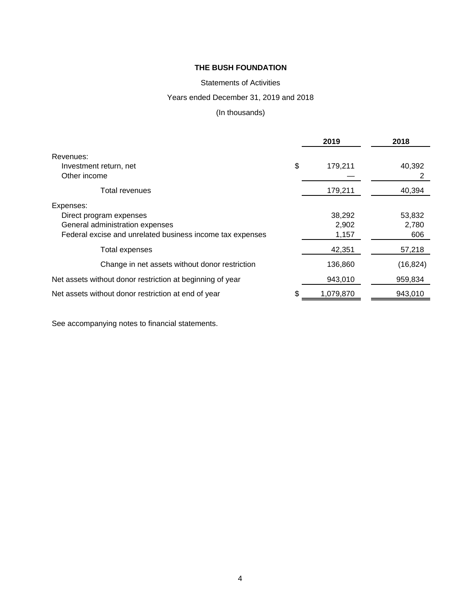## Statements of Activities

## Years ended December 31, 2019 and 2018

## (In thousands)

|                                                           | 2019            | 2018      |
|-----------------------------------------------------------|-----------------|-----------|
| Revenues:                                                 |                 |           |
| Investment return, net                                    | \$<br>179,211   | 40,392    |
| Other income                                              |                 | 2         |
| Total revenues                                            | 179,211         | 40,394    |
| Expenses:                                                 |                 |           |
| Direct program expenses                                   | 38,292          | 53,832    |
| General administration expenses                           | 2,902           | 2,780     |
| Federal excise and unrelated business income tax expenses | 1,157           | 606       |
| Total expenses                                            | 42,351          | 57,218    |
| Change in net assets without donor restriction            | 136,860         | (16, 824) |
| Net assets without donor restriction at beginning of year | 943,010         | 959,834   |
| Net assets without donor restriction at end of year       | \$<br>1,079,870 | 943,010   |

See accompanying notes to financial statements.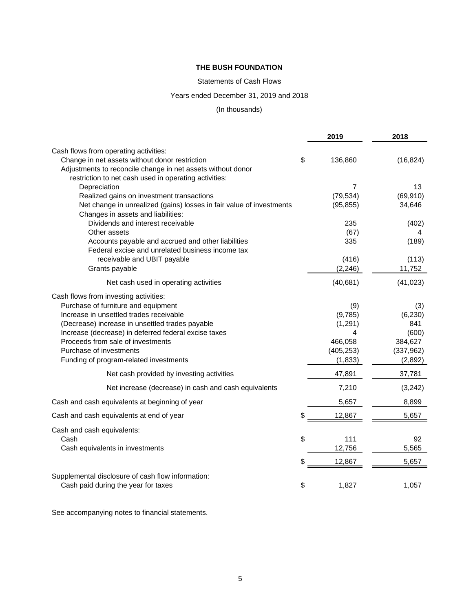## Statements of Cash Flows

## Years ended December 31, 2019 and 2018

#### (In thousands)

|                                                                      | 2019          | 2018       |
|----------------------------------------------------------------------|---------------|------------|
| Cash flows from operating activities:                                |               |            |
| Change in net assets without donor restriction                       | \$<br>136,860 | (16, 824)  |
| Adjustments to reconcile change in net assets without donor          |               |            |
| restriction to net cash used in operating activities:                |               |            |
| Depreciation                                                         | 7             | 13         |
| Realized gains on investment transactions                            | (79, 534)     | (69, 910)  |
| Net change in unrealized (gains) losses in fair value of investments | (95, 855)     | 34,646     |
| Changes in assets and liabilities:                                   |               |            |
| Dividends and interest receivable                                    | 235           | (402)      |
| Other assets                                                         | (67)          | 4          |
| Accounts payable and accrued and other liabilities                   | 335           | (189)      |
| Federal excise and unrelated business income tax                     |               |            |
| receivable and UBIT payable                                          | (416)         | (113)      |
| Grants payable                                                       | (2, 246)      | 11,752     |
| Net cash used in operating activities                                | (40, 681)     | (41, 023)  |
| Cash flows from investing activities:                                |               |            |
| Purchase of furniture and equipment                                  | (9)           | (3)        |
| Increase in unsettled trades receivable                              | (9,785)       | (6, 230)   |
| (Decrease) increase in unsettled trades payable                      | (1, 291)      | 841        |
| Increase (decrease) in deferred federal excise taxes                 | 4             | (600)      |
| Proceeds from sale of investments                                    | 466,058       | 384,627    |
| Purchase of investments                                              | (405, 253)    | (337, 962) |
| Funding of program-related investments                               | (1,833)       | (2,892)    |
| Net cash provided by investing activities                            | 47,891        | 37,781     |
| Net increase (decrease) in cash and cash equivalents                 | 7,210         | (3,242)    |
| Cash and cash equivalents at beginning of year                       | 5,657         | 8,899      |
| Cash and cash equivalents at end of year                             | \$<br>12,867  | 5,657      |
| Cash and cash equivalents:                                           |               |            |
| Cash                                                                 | \$<br>111     | 92         |
| Cash equivalents in investments                                      | 12,756        | 5,565      |
|                                                                      | \$<br>12,867  | 5,657      |
| Supplemental disclosure of cash flow information:                    |               |            |
| Cash paid during the year for taxes                                  | \$<br>1,827   | 1,057      |

See accompanying notes to financial statements.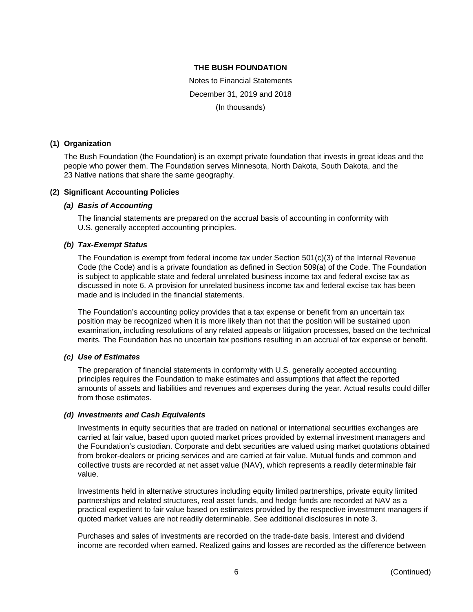Notes to Financial Statements December 31, 2019 and 2018 (In thousands)

#### **(1) Organization**

The Bush Foundation (the Foundation) is an exempt private foundation that invests in great ideas and the people who power them. The Foundation serves Minnesota, North Dakota, South Dakota, and the 23 Native nations that share the same geography.

#### **(2) Significant Accounting Policies**

#### *(a) Basis of Accounting*

The financial statements are prepared on the accrual basis of accounting in conformity with U.S. generally accepted accounting principles.

#### *(b) Tax-Exempt Status*

The Foundation is exempt from federal income tax under Section 501(c)(3) of the Internal Revenue Code (the Code) and is a private foundation as defined in Section 509(a) of the Code. The Foundation is subject to applicable state and federal unrelated business income tax and federal excise tax as discussed in note 6. A provision for unrelated business income tax and federal excise tax has been made and is included in the financial statements.

The Foundation's accounting policy provides that a tax expense or benefit from an uncertain tax position may be recognized when it is more likely than not that the position will be sustained upon examination, including resolutions of any related appeals or litigation processes, based on the technical merits. The Foundation has no uncertain tax positions resulting in an accrual of tax expense or benefit.

#### *(c) Use of Estimates*

The preparation of financial statements in conformity with U.S. generally accepted accounting principles requires the Foundation to make estimates and assumptions that affect the reported amounts of assets and liabilities and revenues and expenses during the year. Actual results could differ from those estimates.

#### *(d) Investments and Cash Equivalents*

Investments in equity securities that are traded on national or international securities exchanges are carried at fair value, based upon quoted market prices provided by external investment managers and the Foundation's custodian. Corporate and debt securities are valued using market quotations obtained from broker-dealers or pricing services and are carried at fair value. Mutual funds and common and collective trusts are recorded at net asset value (NAV), which represents a readily determinable fair value.

Investments held in alternative structures including equity limited partnerships, private equity limited partnerships and related structures, real asset funds, and hedge funds are recorded at NAV as a practical expedient to fair value based on estimates provided by the respective investment managers if quoted market values are not readily determinable. See additional disclosures in note 3.

Purchases and sales of investments are recorded on the trade-date basis. Interest and dividend income are recorded when earned. Realized gains and losses are recorded as the difference between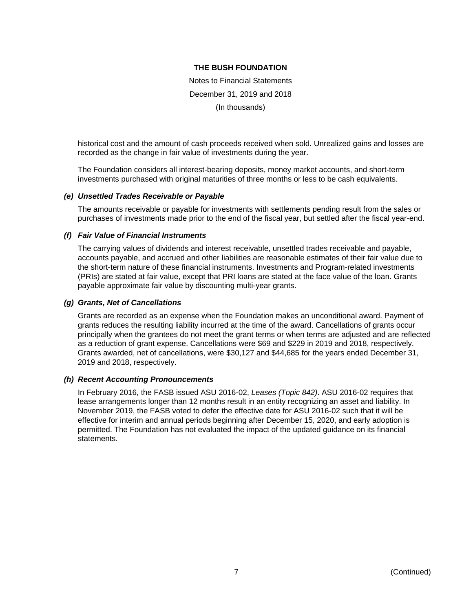Notes to Financial Statements December 31, 2019 and 2018 (In thousands)

historical cost and the amount of cash proceeds received when sold. Unrealized gains and losses are recorded as the change in fair value of investments during the year.

The Foundation considers all interest-bearing deposits, money market accounts, and short-term investments purchased with original maturities of three months or less to be cash equivalents.

#### *(e) Unsettled Trades Receivable or Payable*

The amounts receivable or payable for investments with settlements pending result from the sales or purchases of investments made prior to the end of the fiscal year, but settled after the fiscal year-end.

#### *(f) Fair Value of Financial Instruments*

The carrying values of dividends and interest receivable, unsettled trades receivable and payable, accounts payable, and accrued and other liabilities are reasonable estimates of their fair value due to the short-term nature of these financial instruments. Investments and Program-related investments (PRIs) are stated at fair value, except that PRI loans are stated at the face value of the loan. Grants payable approximate fair value by discounting multi-year grants.

#### *(g) Grants, Net of Cancellations*

Grants are recorded as an expense when the Foundation makes an unconditional award. Payment of grants reduces the resulting liability incurred at the time of the award. Cancellations of grants occur principally when the grantees do not meet the grant terms or when terms are adjusted and are reflected as a reduction of grant expense. Cancellations were \$69 and \$229 in 2019 and 2018, respectively. Grants awarded, net of cancellations, were \$30,127 and \$44,685 for the years ended December 31, 2019 and 2018, respectively.

#### *(h) Recent Accounting Pronouncements*

In February 2016, the FASB issued ASU 2016-02, *Leases (Topic 842)*. ASU 2016-02 requires that lease arrangements longer than 12 months result in an entity recognizing an asset and liability. In November 2019, the FASB voted to defer the effective date for ASU 2016-02 such that it will be effective for interim and annual periods beginning after December 15, 2020, and early adoption is permitted. The Foundation has not evaluated the impact of the updated guidance on its financial statements.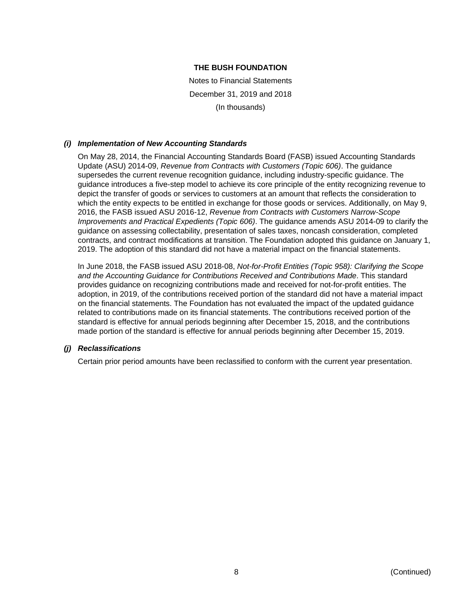Notes to Financial Statements December 31, 2019 and 2018 (In thousands)

## *(i) Implementation of New Accounting Standards*

On May 28, 2014, the Financial Accounting Standards Board (FASB) issued Accounting Standards Update (ASU) 2014-09, *Revenue from Contracts with Customers (Topic 606)*. The guidance supersedes the current revenue recognition guidance, including industry-specific guidance. The guidance introduces a five-step model to achieve its core principle of the entity recognizing revenue to depict the transfer of goods or services to customers at an amount that reflects the consideration to which the entity expects to be entitled in exchange for those goods or services. Additionally, on May 9, 2016, the FASB issued ASU 2016-12, *Revenue from Contracts with Customers Narrow-Scope Improvements and Practical Expedients (Topic 606)*. The guidance amends ASU 2014-09 to clarify the guidance on assessing collectability, presentation of sales taxes, noncash consideration, completed contracts, and contract modifications at transition. The Foundation adopted this guidance on January 1, 2019. The adoption of this standard did not have a material impact on the financial statements.

In June 2018, the FASB issued ASU 2018-08, *Not-for-Profit Entities (Topic 958): Clarifying the Scope and the Accounting Guidance for Contributions Received and Contributions Made*. This standard provides guidance on recognizing contributions made and received for not-for-profit entities. The adoption, in 2019, of the contributions received portion of the standard did not have a material impact on the financial statements. The Foundation has not evaluated the impact of the updated guidance related to contributions made on its financial statements. The contributions received portion of the standard is effective for annual periods beginning after December 15, 2018, and the contributions made portion of the standard is effective for annual periods beginning after December 15, 2019.

#### *(j) Reclassifications*

Certain prior period amounts have been reclassified to conform with the current year presentation.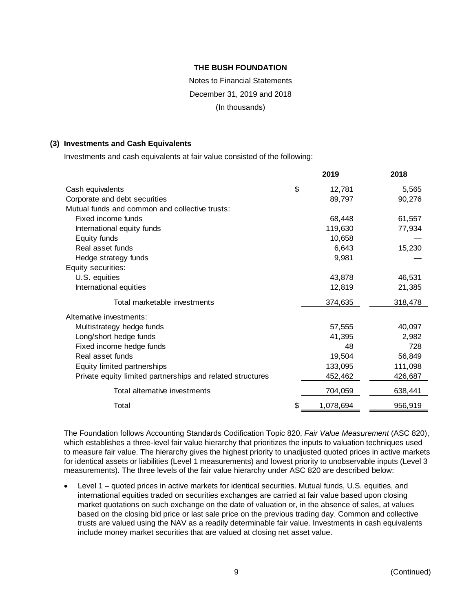# Notes to Financial Statements December 31, 2019 and 2018 (In thousands)

#### **(3) Investments and Cash Equivalents**

Investments and cash equivalents at fair value consisted of the following:

|                                                            |    | 2019      | 2018    |
|------------------------------------------------------------|----|-----------|---------|
| Cash equivalents                                           | \$ | 12,781    | 5,565   |
| Corporate and debt securities                              |    | 89,797    | 90,276  |
| Mutual funds and common and collective trusts:             |    |           |         |
| Fixed income funds                                         |    | 68,448    | 61,557  |
| International equity funds                                 |    | 119,630   | 77,934  |
| Equity funds                                               |    | 10,658    |         |
| Real asset funds                                           |    | 6,643     | 15,230  |
| Hedge strategy funds                                       |    | 9,981     |         |
| Equity securities:                                         |    |           |         |
| U.S. equities                                              |    | 43,878    | 46,531  |
| International equities                                     |    | 12,819    | 21,385  |
| Total marketable investments                               |    | 374,635   | 318,478 |
| Alternative investments:                                   |    |           |         |
| Multistrategy hedge funds                                  |    | 57,555    | 40,097  |
| Long/short hedge funds                                     |    | 41,395    | 2,982   |
| Fixed income hedge funds                                   |    | 48        | 728     |
| Real asset funds                                           |    | 19,504    | 56,849  |
| Equity limited partnerships                                |    | 133,095   | 111,098 |
| Private equity limited partnerships and related structures |    | 452,462   | 426,687 |
| Total alternative investments                              |    | 704,059   | 638,441 |
| Total                                                      | S  | 1,078,694 | 956,919 |

The Foundation follows Accounting Standards Codification Topic 820, *Fair Value Measurement* (ASC 820), which establishes a three-level fair value hierarchy that prioritizes the inputs to valuation techniques used to measure fair value. The hierarchy gives the highest priority to unadjusted quoted prices in active markets for identical assets or liabilities (Level 1 measurements) and lowest priority to unobservable inputs (Level 3 measurements). The three levels of the fair value hierarchy under ASC 820 are described below:

 Level 1 – quoted prices in active markets for identical securities. Mutual funds, U.S. equities, and international equities traded on securities exchanges are carried at fair value based upon closing market quotations on such exchange on the date of valuation or, in the absence of sales, at values based on the closing bid price or last sale price on the previous trading day. Common and collective trusts are valued using the NAV as a readily determinable fair value. Investments in cash equivalents include money market securities that are valued at closing net asset value.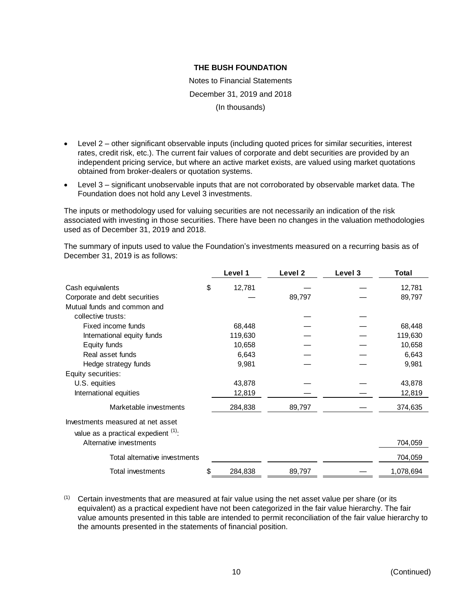Notes to Financial Statements December 31, 2019 and 2018 (In thousands)

- Level 2 other significant observable inputs (including quoted prices for similar securities, interest rates, credit risk, etc.). The current fair values of corporate and debt securities are provided by an independent pricing service, but where an active market exists, are valued using market quotations obtained from broker-dealers or quotation systems.
- Level 3 significant unobservable inputs that are not corroborated by observable market data. The Foundation does not hold any Level 3 investments.

The inputs or methodology used for valuing securities are not necessarily an indication of the risk associated with investing in those securities. There have been no changes in the valuation methodologies used as of December 31, 2019 and 2018.

The summary of inputs used to value the Foundation's investments measured on a recurring basis as of December 31, 2019 is as follows:

|                                     | Level 1       | Level 2 | Level 3 | Total     |
|-------------------------------------|---------------|---------|---------|-----------|
| Cash equivalents                    | \$<br>12,781  |         |         | 12,781    |
| Corporate and debt securities       |               | 89,797  |         | 89,797    |
| Mutual funds and common and         |               |         |         |           |
| collective trusts:                  |               |         |         |           |
| Fixed income funds                  | 68,448        |         |         | 68,448    |
| International equity funds          | 119,630       |         |         | 119,630   |
| Equity funds                        | 10,658        |         |         | 10,658    |
| Real asset funds                    | 6,643         |         |         | 6,643     |
| Hedge strategy funds                | 9,981         |         |         | 9,981     |
| Equity securities:                  |               |         |         |           |
| U.S. equities                       | 43,878        |         |         | 43,878    |
| International equities              | 12,819        |         |         | 12,819    |
| Marketable investments              | 284,838       | 89,797  |         | 374,635   |
| Investments measured at net asset   |               |         |         |           |
| value as a practical expedient (1). |               |         |         |           |
| Alternative investments             |               |         |         | 704,059   |
| Total alternative investments       |               |         |         | 704,059   |
| Total investments                   | \$<br>284,838 | 89,797  |         | 1,078,694 |

(1) Certain investments that are measured at fair value using the net asset value per share (or its equivalent) as a practical expedient have not been categorized in the fair value hierarchy. The fair value amounts presented in this table are intended to permit reconciliation of the fair value hierarchy to the amounts presented in the statements of financial position.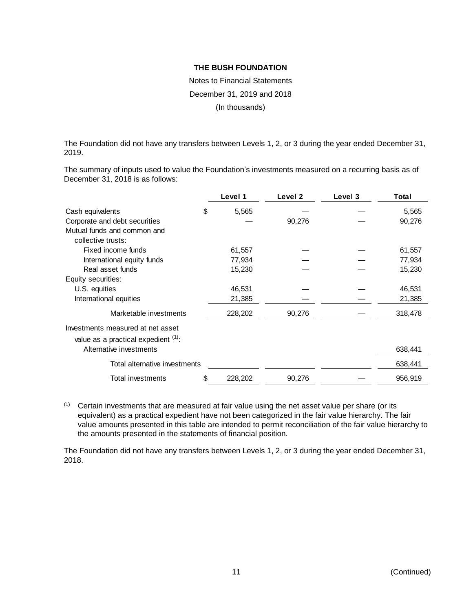Notes to Financial Statements December 31, 2019 and 2018 (In thousands)

The Foundation did not have any transfers between Levels 1, 2, or 3 during the year ended December 31, 2019.

The summary of inputs used to value the Foundation's investments measured on a recurring basis as of December 31, 2018 is as follows:

|                                                                             | Level 1       | Level 2 | Level 3 | Total   |
|-----------------------------------------------------------------------------|---------------|---------|---------|---------|
| Cash equivalents                                                            | \$<br>5,565   |         |         | 5,565   |
| Corporate and debt securities                                               |               | 90,276  |         | 90,276  |
| Mutual funds and common and                                                 |               |         |         |         |
| collective trusts:                                                          |               |         |         |         |
| Fixed income funds                                                          | 61,557        |         |         | 61,557  |
| International equity funds                                                  | 77,934        |         |         | 77,934  |
| Real asset funds                                                            | 15,230        |         |         | 15,230  |
| Equity securities:                                                          |               |         |         |         |
| U.S. equities                                                               | 46,531        |         |         | 46,531  |
| International equities                                                      | 21,385        |         |         | 21,385  |
| Marketable investments                                                      | 228,202       | 90,276  |         | 318,478 |
| Investments measured at net asset<br>value as a practical expedient $(1)$ . |               |         |         |         |
| Alternative investments                                                     |               |         |         | 638,441 |
| Total alternative investments                                               |               |         |         | 638,441 |
| Total investments                                                           | \$<br>228,202 | 90,276  |         | 956,919 |

(1) Certain investments that are measured at fair value using the net asset value per share (or its equivalent) as a practical expedient have not been categorized in the fair value hierarchy. The fair value amounts presented in this table are intended to permit reconciliation of the fair value hierarchy to the amounts presented in the statements of financial position.

The Foundation did not have any transfers between Levels 1, 2, or 3 during the year ended December 31, 2018.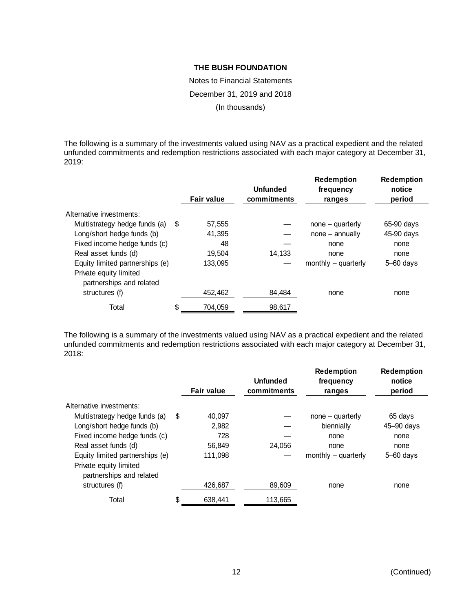Notes to Financial Statements December 31, 2019 and 2018 (In thousands)

The following is a summary of the investments valued using NAV as a practical expedient and the related unfunded commitments and redemption restrictions associated with each major category at December 31, 2019:

|                                                    |    | <b>Fair value</b> | <b>Unfunded</b><br>commitments | <b>Redemption</b><br>frequency<br>ranges | <b>Redemption</b><br>notice<br>period |
|----------------------------------------------------|----|-------------------|--------------------------------|------------------------------------------|---------------------------------------|
| Alternative investments:                           |    |                   |                                |                                          |                                       |
| Multistrategy hedge funds (a)                      | S  | 57,555            |                                | $none - quarterly$                       | 65-90 days                            |
| Long/short hedge funds (b)                         |    | 41.395            |                                | $none - annually$                        | 45-90 days                            |
| Fixed income hedge funds (c)                       |    | 48                |                                | none                                     | none                                  |
| Real asset funds (d)                               |    | 19.504            | 14,133                         | none                                     | none                                  |
| Equity limited partnerships (e)                    |    | 133.095           |                                | monthly $-$ quarterly                    | $5 - 60$ days                         |
| Private equity limited<br>partnerships and related |    |                   |                                |                                          |                                       |
| structures (f)                                     |    | 452.462           | 84.484                         | none                                     | none                                  |
| Total                                              | \$ | 704,059           | 98,617                         |                                          |                                       |

The following is a summary of the investments valued using NAV as a practical expedient and the related unfunded commitments and redemption restrictions associated with each major category at December 31, 2018:

|                                                    |    | <b>Fair value</b> | <b>Unfunded</b><br>commitments | <b>Redemption</b><br>frequency<br>ranges | <b>Redemption</b><br>notice<br>period |
|----------------------------------------------------|----|-------------------|--------------------------------|------------------------------------------|---------------------------------------|
| Alternative investments:                           |    |                   |                                |                                          |                                       |
| Multistrategy hedge funds (a)                      | S  | 40.097            |                                | $none - quarterly$                       | 65 days                               |
| Long/short hedge funds (b)                         |    | 2,982             |                                | biennially                               | 45-90 days                            |
| Fixed income hedge funds (c)                       |    | 728               |                                | none                                     | none                                  |
| Real asset funds (d)                               |    | 56,849            | 24,056                         | none                                     | none                                  |
| Equity limited partnerships (e)                    |    | 111.098           |                                | monthly $-$ quarterly                    | $5 - 60$ days                         |
| Private equity limited<br>partnerships and related |    |                   |                                |                                          |                                       |
| structures (f)                                     |    | 426,687           | 89,609                         | none                                     | none                                  |
| Total                                              | \$ | 638.441           | 113.665                        |                                          |                                       |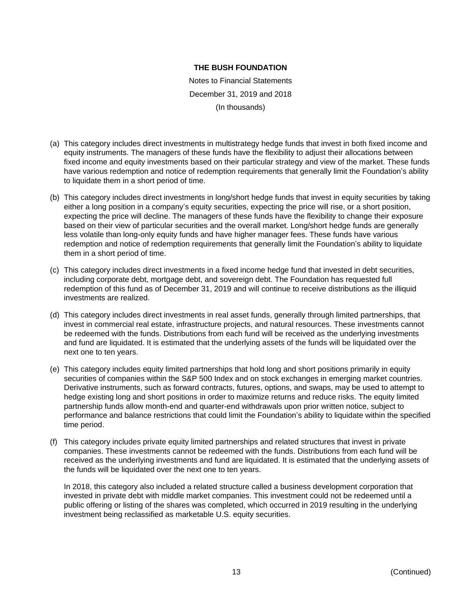Notes to Financial Statements December 31, 2019 and 2018 (In thousands)

- (a) This category includes direct investments in multistrategy hedge funds that invest in both fixed income and equity instruments. The managers of these funds have the flexibility to adjust their allocations between fixed income and equity investments based on their particular strategy and view of the market. These funds have various redemption and notice of redemption requirements that generally limit the Foundation's ability to liquidate them in a short period of time.
- (b) This category includes direct investments in long/short hedge funds that invest in equity securities by taking either a long position in a company's equity securities, expecting the price will rise, or a short position, expecting the price will decline. The managers of these funds have the flexibility to change their exposure based on their view of particular securities and the overall market. Long/short hedge funds are generally less volatile than long-only equity funds and have higher manager fees. These funds have various redemption and notice of redemption requirements that generally limit the Foundation's ability to liquidate them in a short period of time.
- (c) This category includes direct investments in a fixed income hedge fund that invested in debt securities, including corporate debt, mortgage debt, and sovereign debt. The Foundation has requested full redemption of this fund as of December 31, 2019 and will continue to receive distributions as the illiquid investments are realized.
- (d) This category includes direct investments in real asset funds, generally through limited partnerships, that invest in commercial real estate, infrastructure projects, and natural resources. These investments cannot be redeemed with the funds. Distributions from each fund will be received as the underlying investments and fund are liquidated. It is estimated that the underlying assets of the funds will be liquidated over the next one to ten years.
- (e) This category includes equity limited partnerships that hold long and short positions primarily in equity securities of companies within the S&P 500 Index and on stock exchanges in emerging market countries. Derivative instruments, such as forward contracts, futures, options, and swaps, may be used to attempt to hedge existing long and short positions in order to maximize returns and reduce risks. The equity limited partnership funds allow month-end and quarter-end withdrawals upon prior written notice, subject to performance and balance restrictions that could limit the Foundation's ability to liquidate within the specified time period.
- (f) This category includes private equity limited partnerships and related structures that invest in private companies. These investments cannot be redeemed with the funds. Distributions from each fund will be received as the underlying investments and fund are liquidated. It is estimated that the underlying assets of the funds will be liquidated over the next one to ten years.

In 2018, this category also included a related structure called a business development corporation that invested in private debt with middle market companies. This investment could not be redeemed until a public offering or listing of the shares was completed, which occurred in 2019 resulting in the underlying investment being reclassified as marketable U.S. equity securities.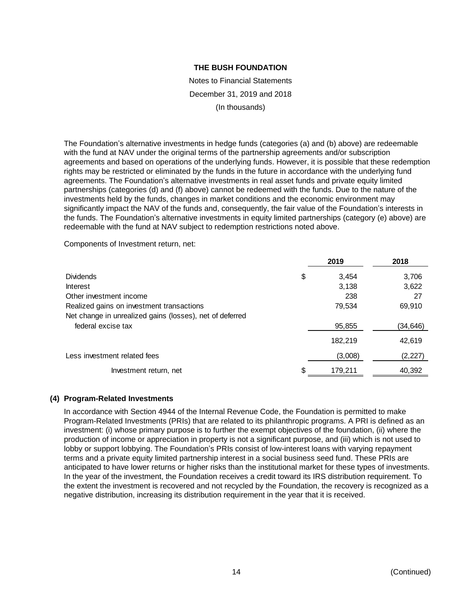Notes to Financial Statements December 31, 2019 and 2018 (In thousands)

The Foundation's alternative investments in hedge funds (categories (a) and (b) above) are redeemable with the fund at NAV under the original terms of the partnership agreements and/or subscription agreements and based on operations of the underlying funds. However, it is possible that these redemption rights may be restricted or eliminated by the funds in the future in accordance with the underlying fund agreements. The Foundation's alternative investments in real asset funds and private equity limited partnerships (categories (d) and (f) above) cannot be redeemed with the funds. Due to the nature of the investments held by the funds, changes in market conditions and the economic environment may significantly impact the NAV of the funds and, consequently, the fair value of the Foundation's interests in the funds. The Foundation's alternative investments in equity limited partnerships (category (e) above) are redeemable with the fund at NAV subject to redemption restrictions noted above.

Components of Investment return, net:

|                                                                                | 2019          | 2018     |
|--------------------------------------------------------------------------------|---------------|----------|
| <b>Dividends</b>                                                               | \$<br>3.454   | 3,706    |
| <b>Interest</b>                                                                | 3,138         | 3,622    |
| Other investment income                                                        | 238           | 27       |
| Realized gains on investment transactions                                      | 79,534        | 69,910   |
| Net change in unrealized gains (losses), net of deferred<br>federal excise tax | 95,855        | (34,646) |
|                                                                                | 182.219       | 42,619   |
| Less investment related fees                                                   | (3,008)       | (2,227)  |
| Investment return, net                                                         | \$<br>179,211 | 40,392   |

#### **(4) Program-Related Investments**

In accordance with Section 4944 of the Internal Revenue Code, the Foundation is permitted to make Program-Related Investments (PRIs) that are related to its philanthropic programs. A PRI is defined as an investment: (i) whose primary purpose is to further the exempt objectives of the foundation, (ii) where the production of income or appreciation in property is not a significant purpose, and (iii) which is not used to lobby or support lobbying. The Foundation's PRIs consist of low-interest loans with varying repayment terms and a private equity limited partnership interest in a social business seed fund. These PRIs are anticipated to have lower returns or higher risks than the institutional market for these types of investments. In the year of the investment, the Foundation receives a credit toward its IRS distribution requirement. To the extent the investment is recovered and not recycled by the Foundation, the recovery is recognized as a negative distribution, increasing its distribution requirement in the year that it is received.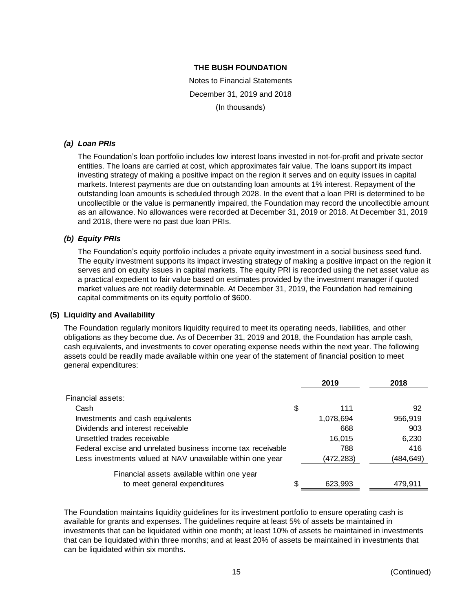Notes to Financial Statements December 31, 2019 and 2018 (In thousands)

#### *(a) Loan PRIs*

The Foundation's loan portfolio includes low interest loans invested in not-for-profit and private sector entities. The loans are carried at cost, which approximates fair value. The loans support its impact investing strategy of making a positive impact on the region it serves and on equity issues in capital markets. Interest payments are due on outstanding loan amounts at 1% interest. Repayment of the outstanding loan amounts is scheduled through 2028. In the event that a loan PRI is determined to be uncollectible or the value is permanently impaired, the Foundation may record the uncollectible amount as an allowance. No allowances were recorded at December 31, 2019 or 2018. At December 31, 2019 and 2018, there were no past due loan PRIs.

## *(b) Equity PRIs*

The Foundation's equity portfolio includes a private equity investment in a social business seed fund. The equity investment supports its impact investing strategy of making a positive impact on the region it serves and on equity issues in capital markets. The equity PRI is recorded using the net asset value as a practical expedient to fair value based on estimates provided by the investment manager if quoted market values are not readily determinable. At December 31, 2019, the Foundation had remaining capital commitments on its equity portfolio of \$600.

#### **(5) Liquidity and Availability**

The Foundation regularly monitors liquidity required to meet its operating needs, liabilities, and other obligations as they become due. As of December 31, 2019 and 2018, the Foundation has ample cash, cash equivalents, and investments to cover operating expense needs within the next year. The following assets could be readily made available within one year of the statement of financial position to meet general expenditures:

| 2019      | 2018      |
|-----------|-----------|
|           |           |
| \$<br>111 | 92        |
| 1,078,694 | 956,919   |
| 668       | 903       |
| 16,015    | 6,230     |
| 788       | 416       |
| (472,283) | (484,649) |
|           |           |
| 623,993   | 479,911   |
|           |           |

The Foundation maintains liquidity guidelines for its investment portfolio to ensure operating cash is available for grants and expenses. The guidelines require at least 5% of assets be maintained in investments that can be liquidated within one month; at least 10% of assets be maintained in investments that can be liquidated within three months; and at least 20% of assets be maintained in investments that can be liquidated within six months.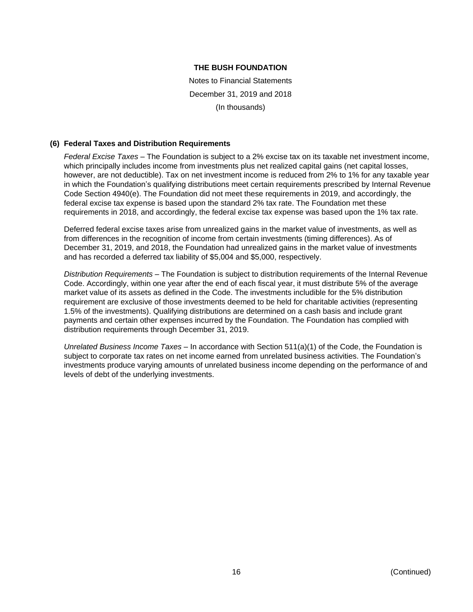Notes to Financial Statements December 31, 2019 and 2018 (In thousands)

#### **(6) Federal Taxes and Distribution Requirements**

*Federal Excise Taxes* – The Foundation is subject to a 2% excise tax on its taxable net investment income, which principally includes income from investments plus net realized capital gains (net capital losses, however, are not deductible). Tax on net investment income is reduced from 2% to 1% for any taxable year in which the Foundation's qualifying distributions meet certain requirements prescribed by Internal Revenue Code Section 4940(e). The Foundation did not meet these requirements in 2019, and accordingly, the federal excise tax expense is based upon the standard 2% tax rate. The Foundation met these requirements in 2018, and accordingly, the federal excise tax expense was based upon the 1% tax rate.

Deferred federal excise taxes arise from unrealized gains in the market value of investments, as well as from differences in the recognition of income from certain investments (timing differences). As of December 31, 2019, and 2018, the Foundation had unrealized gains in the market value of investments and has recorded a deferred tax liability of \$5,004 and \$5,000, respectively.

*Distribution Requirements* – The Foundation is subject to distribution requirements of the Internal Revenue Code. Accordingly, within one year after the end of each fiscal year, it must distribute 5% of the average market value of its assets as defined in the Code. The investments includible for the 5% distribution requirement are exclusive of those investments deemed to be held for charitable activities (representing 1.5% of the investments). Qualifying distributions are determined on a cash basis and include grant payments and certain other expenses incurred by the Foundation. The Foundation has complied with distribution requirements through December 31, 2019.

*Unrelated Business Income Taxes* – In accordance with Section 511(a)(1) of the Code, the Foundation is subject to corporate tax rates on net income earned from unrelated business activities. The Foundation's investments produce varying amounts of unrelated business income depending on the performance of and levels of debt of the underlying investments.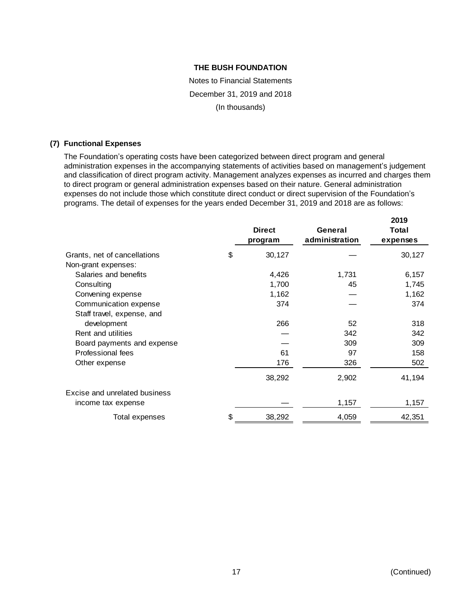Notes to Financial Statements December 31, 2019 and 2018 (In thousands)

#### **(7) Functional Expenses**

The Foundation's operating costs have been categorized between direct program and general administration expenses in the accompanying statements of activities based on management's judgement and classification of direct program activity. Management analyzes expenses as incurred and charges them to direct program or general administration expenses based on their nature. General administration expenses do not include those which constitute direct conduct or direct supervision of the Foundation's programs. The detail of expenses for the years ended December 31, 2019 and 2018 are as follows:

|                               | <b>Direct</b><br>program | General<br>administration | 2019<br>Total<br>expenses |
|-------------------------------|--------------------------|---------------------------|---------------------------|
| Grants, net of cancellations  | \$<br>30,127             |                           | 30,127                    |
| Non-grant expenses:           |                          |                           |                           |
| Salaries and benefits         | 4,426                    | 1,731                     | 6,157                     |
| Consulting                    | 1,700                    | 45                        | 1,745                     |
| Convening expense             | 1,162                    |                           | 1,162                     |
| Communication expense         | 374                      |                           | 374                       |
| Staff travel, expense, and    |                          |                           |                           |
| development                   | 266                      | 52                        | 318                       |
| Rent and utilities            |                          | 342                       | 342                       |
| Board payments and expense    |                          | 309                       | 309                       |
| Professional fees             | 61                       | 97                        | 158                       |
| Other expense                 | 176                      | 326                       | 502                       |
|                               | 38,292                   | 2,902                     | 41,194                    |
| Excise and unrelated business |                          |                           |                           |
| income tax expense            |                          | 1,157                     | 1,157                     |
| Total expenses                | \$<br>38,292             | 4,059                     | 42,351                    |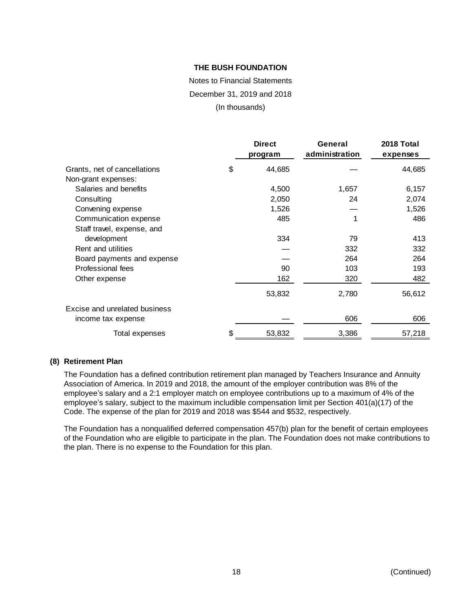Notes to Financial Statements December 31, 2019 and 2018 (In thousands)

|                               | <b>Direct</b><br>program | General<br>administration | 2018 Total<br>expenses |
|-------------------------------|--------------------------|---------------------------|------------------------|
| Grants, net of cancellations  | \$<br>44,685             |                           | 44,685                 |
| Non-grant expenses:           |                          |                           |                        |
| Salaries and benefits         | 4,500                    | 1,657                     | 6,157                  |
| Consulting                    | 2,050                    | 24                        | 2,074                  |
| Convening expense             | 1,526                    |                           | 1,526                  |
| Communication expense         | 485                      |                           | 486                    |
| Staff travel, expense, and    |                          |                           |                        |
| development                   | 334                      | 79                        | 413                    |
| Rent and utilities            |                          | 332                       | 332                    |
| Board payments and expense    |                          | 264                       | 264                    |
| Professional fees             | 90                       | 103                       | 193                    |
| Other expense                 | 162                      | 320                       | 482                    |
|                               | 53,832                   | 2,780                     | 56,612                 |
| Excise and unrelated business |                          |                           |                        |
| income tax expense            |                          | 606                       | 606                    |
| Total expenses                | \$<br>53,832             | 3,386                     | 57,218                 |

#### **(8) Retirement Plan**

The Foundation has a defined contribution retirement plan managed by Teachers Insurance and Annuity Association of America. In 2019 and 2018, the amount of the employer contribution was 8% of the employee's salary and a 2:1 employer match on employee contributions up to a maximum of 4% of the employee's salary, subject to the maximum includible compensation limit per Section 401(a)(17) of the Code. The expense of the plan for 2019 and 2018 was \$544 and \$532, respectively.

The Foundation has a nonqualified deferred compensation 457(b) plan for the benefit of certain employees of the Foundation who are eligible to participate in the plan. The Foundation does not make contributions to the plan. There is no expense to the Foundation for this plan.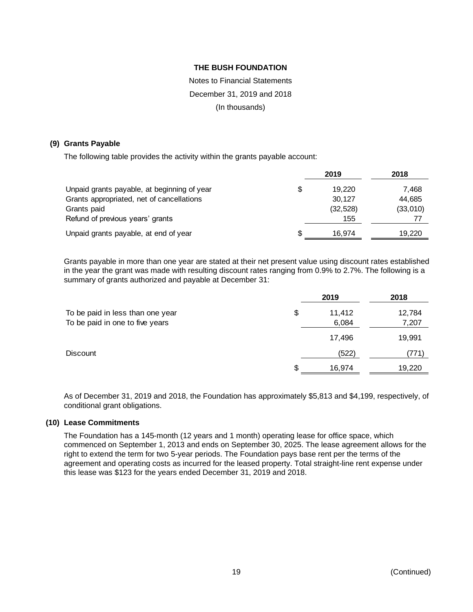# Notes to Financial Statements December 31, 2019 and 2018 (In thousands)

#### **(9) Grants Payable**

The following table provides the activity within the grants payable account:

|                                             |    | 2019      | 2018     |
|---------------------------------------------|----|-----------|----------|
| Unpaid grants payable, at beginning of year | \$ | 19.220    | 7,468    |
| Grants appropriated, net of cancellations   |    | 30.127    | 44,685   |
| Grants paid                                 |    | (32, 528) | (33,010) |
| Refund of previous years' grants            |    | 155       | 77       |
| Unpaid grants payable, at end of year       | S  | 16.974    | 19,220   |

Grants payable in more than one year are stated at their net present value using discount rates established in the year the grant was made with resulting discount rates ranging from 0.9% to 2.7%. The following is a summary of grants authorized and payable at December 31:

|                                  |     | 2019   | 2018   |
|----------------------------------|-----|--------|--------|
| To be paid in less than one year | \$  | 11,412 | 12,784 |
| To be paid in one to five years  |     | 6,084  | 7,207  |
|                                  |     | 17,496 | 19,991 |
| <b>Discount</b>                  |     | (522)  | 771)   |
|                                  | \$. | 16,974 | 19,220 |

As of December 31, 2019 and 2018, the Foundation has approximately \$5,813 and \$4,199, respectively, of conditional grant obligations.

#### **(10) Lease Commitments**

The Foundation has a 145-month (12 years and 1 month) operating lease for office space, which commenced on September 1, 2013 and ends on September 30, 2025. The lease agreement allows for the right to extend the term for two 5-year periods. The Foundation pays base rent per the terms of the agreement and operating costs as incurred for the leased property. Total straight-line rent expense under this lease was \$123 for the years ended December 31, 2019 and 2018.